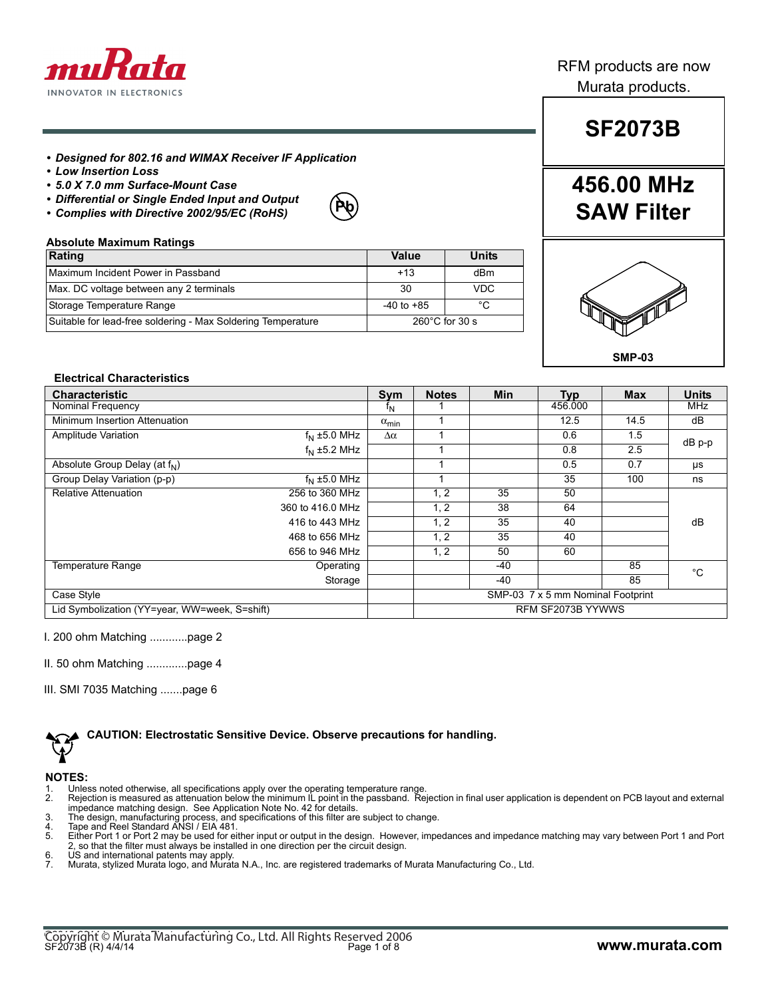

### RFM products are now Murata products.

### *• Designed for 802.16 and WIMAX Receiver IF Application*

- *Low Insertion Loss*
- *5.0 X 7.0 mm Surface-Mount Case*
- *Differential or Single Ended Input and Output*
- *Complies with Directive 2002/95/EC (RoHS)*

# **Pb**

#### **Absolute Maximum Ratings**

| Rating                                                       | Value          | <b>Units</b>             |
|--------------------------------------------------------------|----------------|--------------------------|
| Maximum Incident Power in Passband                           | $+13$          | dBm                      |
| Max. DC voltage between any 2 terminals                      | 30             | <b>VDC</b>               |
| Storage Temperature Range                                    | $-40$ to $+85$ | °C                       |
| Suitable for lead-free soldering - Max Soldering Temperature |                | $260^{\circ}$ C for 30 s |

# **SF2073B**

## **456.00 MHz SAW Filter**



#### **Electrical Characteristics**

| <b>Characteristic</b>                         |                      | Sym                   | <b>Notes</b>                      | Min   | <b>Typ</b> | <b>Max</b> | <b>Units</b> |
|-----------------------------------------------|----------------------|-----------------------|-----------------------------------|-------|------------|------------|--------------|
| Nominal Frequency                             |                      | $I_{N}$               |                                   |       | 456.000    |            | <b>MHz</b>   |
| Minimum Insertion Attenuation                 |                      | $\alpha_{\text{min}}$ |                                   |       | 12.5       | 14.5       | dB           |
| Amplitude Variation                           | $f_N \pm 5.0$ MHz    | $\Delta \alpha$       |                                   |       | 0.6        | 1.5        | dB p-p       |
|                                               | $f_{\rm N}$ ±5.2 MHz |                       |                                   |       | 0.8        | 2.5        |              |
| Absolute Group Delay (at f <sub>N</sub> )     |                      |                       |                                   |       | 0.5        | 0.7        | μs           |
| Group Delay Variation (p-p)                   | $f_N \pm 5.0$ MHz    |                       |                                   |       | 35         | 100        | ns           |
| <b>Relative Attenuation</b>                   | 256 to 360 MHz       |                       | 1, 2                              | 35    | 50         |            |              |
|                                               | 360 to 416.0 MHz     |                       | 1, 2                              | 38    | 64         |            |              |
|                                               | 416 to 443 MHz       |                       | 1, 2                              | 35    | 40         |            | dB           |
|                                               | 468 to 656 MHz       |                       | 1, 2                              | 35    | 40         |            |              |
|                                               | 656 to 946 MHz       |                       | 1, 2                              | 50    | 60         |            |              |
| <b>Temperature Range</b>                      | Operating            |                       |                                   | $-40$ |            | 85         | $^{\circ}$ C |
|                                               | Storage              |                       |                                   | $-40$ |            | 85         |              |
| Case Style                                    |                      |                       | SMP-03 7 x 5 mm Nominal Footprint |       |            |            |              |
| Lid Symbolization (YY=year, WW=week, S=shift) |                      |                       | RFM SF2073B YYWWS                 |       |            |            |              |

I. 200 ohm Matching ............page 2

II. 50 ohm Matching .............page 4

III. SMI 7035 Matching .......page 6

**CAUTION: Electrostatic Sensitive Device. Observe precautions for handling.**

#### **NOTES:**

- 
- 1. Unless noted otherwise, all specifications apply over the operating temperature range.<br>2. Rejection is measured as attenuation below the minimum IL point in the passband. Rejection in final user application is dependent impedance matching design. See Application Note No. 42 for details.
- 
- 
- 3. The design, manufacturing process, and specifications of this filter are subject to change.<br>4. Tape and Reel Standard ANSI / EIA 481.<br>5. Either Port 1 or Port 2 may be used for either input or output in the design. H 2, so that the filter must always be installed in one direction per the circuit design.
- 6. US and international patents may apply.
- 7. Murata, stylized Murata logo, and Murata N.A., Inc. are registered trademarks of Murata Manufacturing Co., Ltd.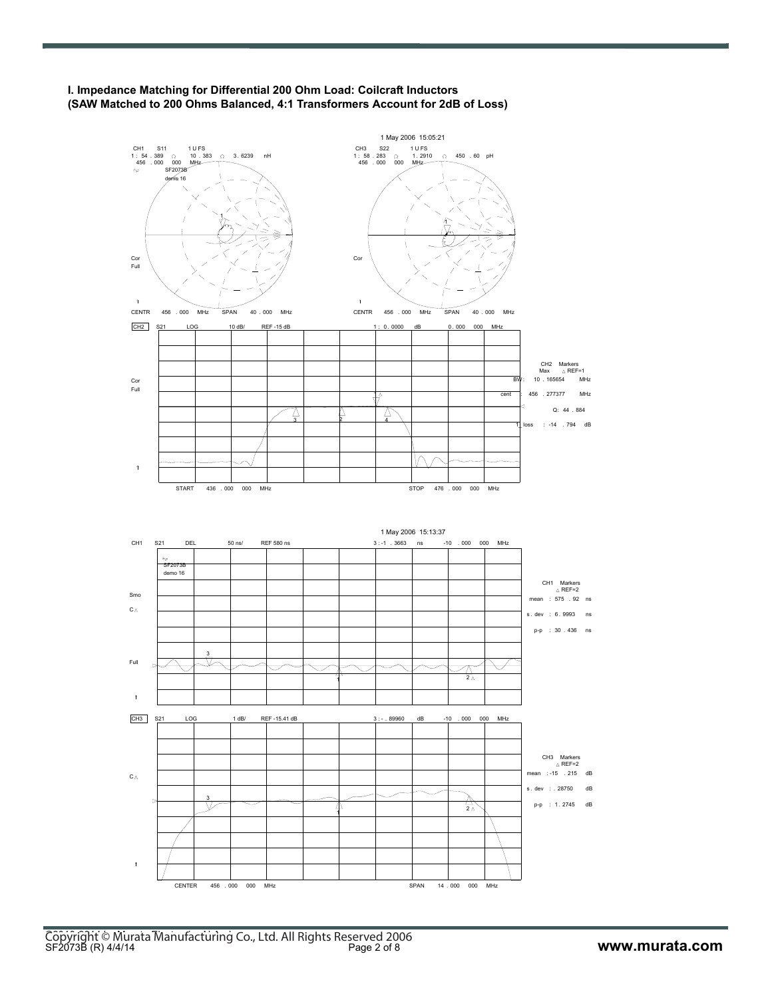

**I. Impedance Matching for Differential 200 Ohm Load: Coilcraft Inductors (SAW Matched to 200 Ohms Balanced, 4:1 Transformers Account for 2dB of Loss)**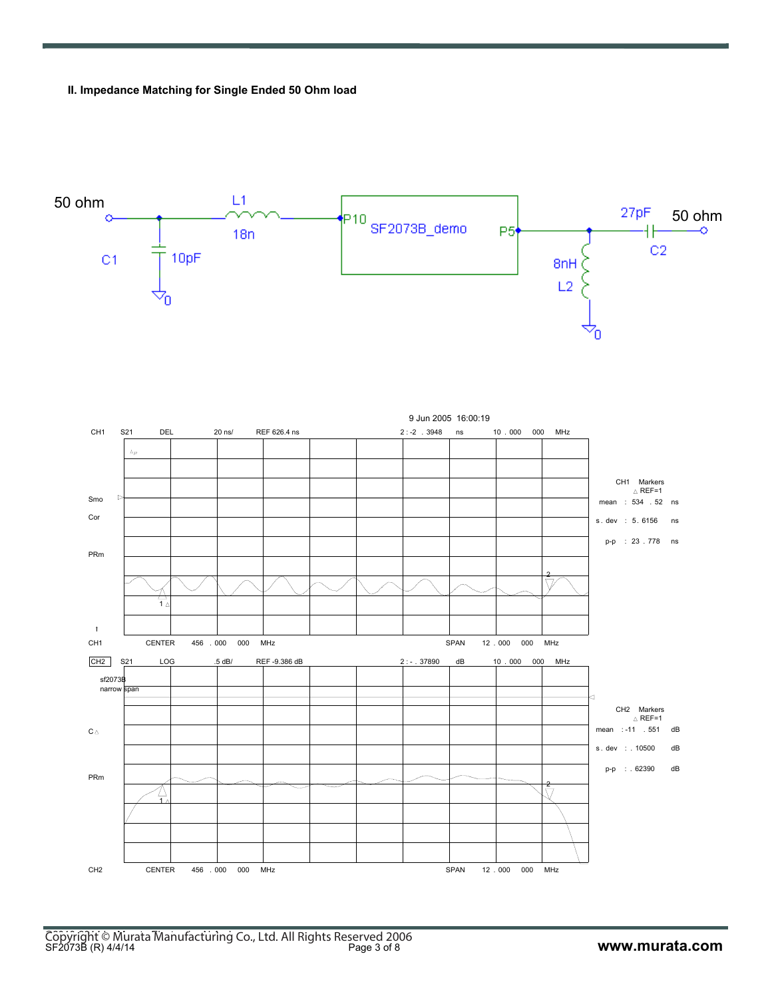**II. Impedance Matching for Single Ended 50 Ohm load**



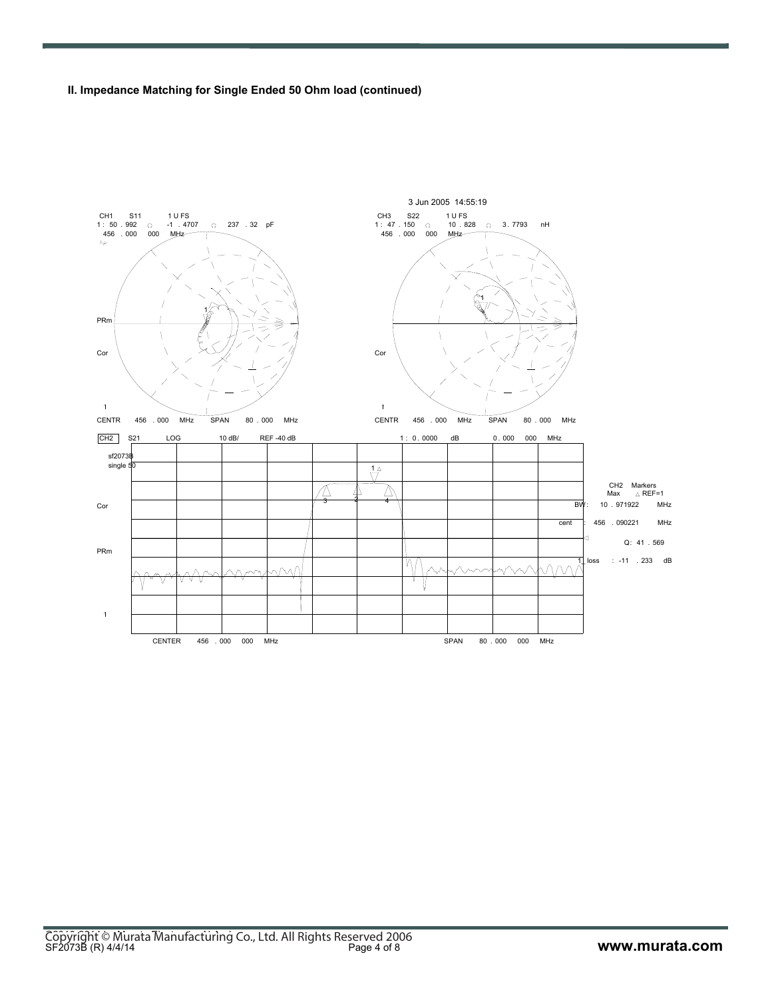**II. Impedance Matching for Single Ended 50 Ohm load (continued)**

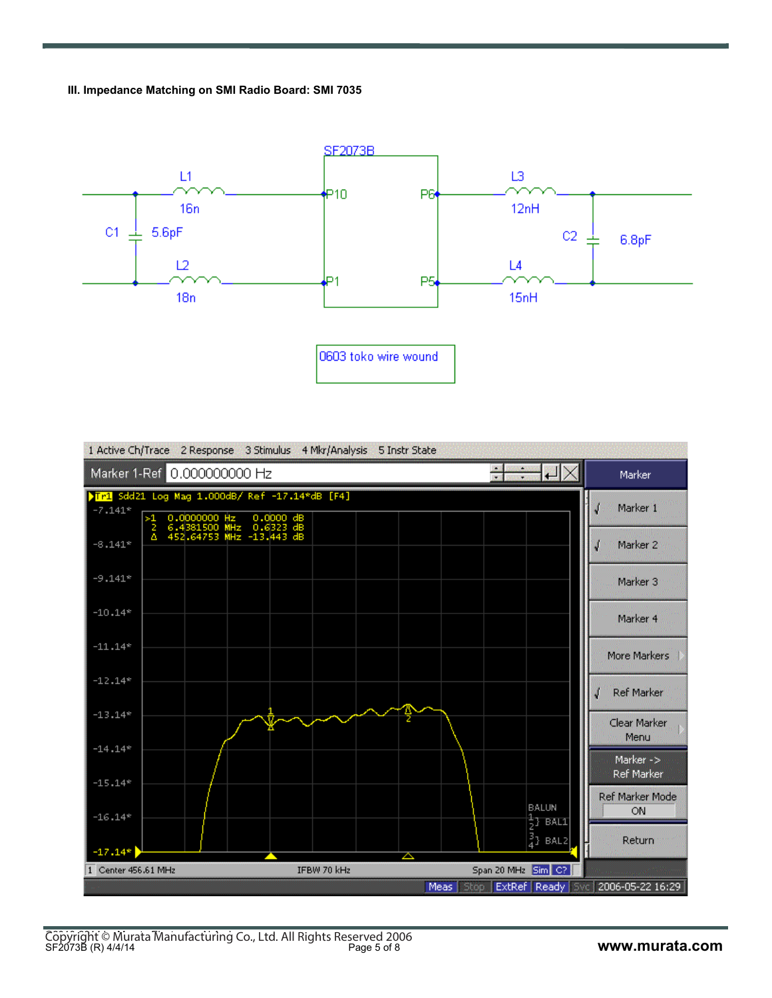**III. Impedance Matching on SMI Radio Board: SMI 7035**



|                             | 1 Active Ch/Trace 2 Response 3 Stimulus 4 Mkr/Analysis 5 Instr State                               |                                                                     |                         |
|-----------------------------|----------------------------------------------------------------------------------------------------|---------------------------------------------------------------------|-------------------------|
| Marker 1-Ref 0.000000000 Hz |                                                                                                    |                                                                     | Marker                  |
| $-7.141*$<br>>1             | Tr1 Sdd21 Log Mag 1.000dB/ Ref -17.14*dB [F4]<br>0.0000000 Hz 0.0000 dB<br>6.4381500 MHz 0.6323 dB |                                                                     | Marker 1                |
| -2<br>Δ<br>$-8.141*$        | 452.64753 MHz -13.443 dB                                                                           |                                                                     | Marker <sub>2</sub>     |
| $-9.141*$                   |                                                                                                    |                                                                     | Marker <sub>3</sub>     |
| $-10.14*$                   |                                                                                                    |                                                                     | Marker 4                |
| $-11.14*$                   |                                                                                                    |                                                                     | More Markers            |
| $-12.14*$                   |                                                                                                    |                                                                     | Ref Marker              |
| $-13.14*$                   |                                                                                                    |                                                                     | Clear Marker<br>Menu    |
| $-14.14*$<br>$-15.14*$      |                                                                                                    |                                                                     | Marker -><br>Ref Marker |
| $-16.14*$                   |                                                                                                    | <b>BALUN</b>                                                        | Ref Marker Mode<br>ON.  |
| $-17.14*$                   |                                                                                                    | $\frac{1}{2}$ } bali<br>$\frac{3}{4}$ } BAL2<br>△                   | Return                  |
| 1 Center 456.61 MHz         | IFBW 70 kHz                                                                                        | Span 20 MHz Sim C?                                                  |                         |
|                             |                                                                                                    | Stop   ExtRef   Ready   Svc   2006-05-22 16:29<br>Meas <sup>1</sup> |                         |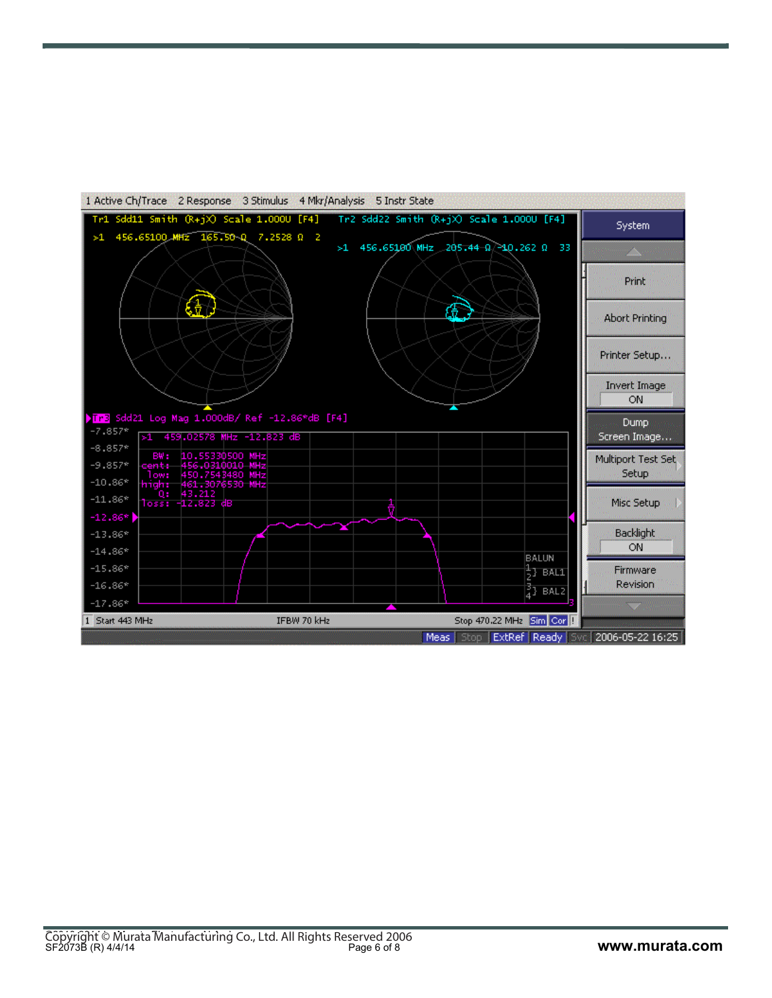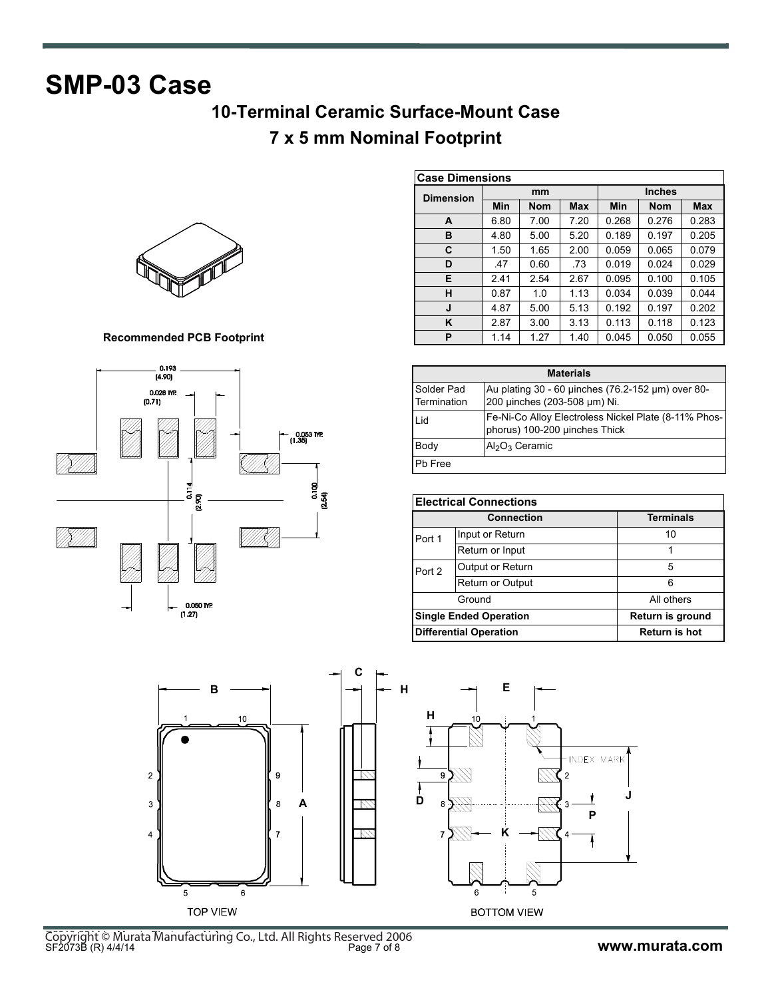# **SMP-03 Case**

## **10-Terminal Ceramic Surface-Mount Case**

### **7 x 5 mm Nominal Footprint**



**Recommended PCB Footprint**



| <b>Case Dimensions</b> |      |            |            |               |            |            |
|------------------------|------|------------|------------|---------------|------------|------------|
| <b>Dimension</b>       | mm   |            |            | <b>Inches</b> |            |            |
|                        | Min  | <b>Nom</b> | <b>Max</b> | <b>Min</b>    | <b>Nom</b> | <b>Max</b> |
| A                      | 6.80 | 7.00       | 7.20       | 0.268         | 0.276      | 0.283      |
| B                      | 4.80 | 5.00       | 5.20       | 0.189         | 0.197      | 0.205      |
| C                      | 1.50 | 1.65       | 2.00       | 0.059         | 0.065      | 0.079      |
| D                      | .47  | 0.60       | .73        | 0.019         | 0.024      | 0.029      |
| Е                      | 2.41 | 2.54       | 2.67       | 0.095         | 0.100      | 0.105      |
| н                      | 0.87 | 1.0        | 1.13       | 0.034         | 0.039      | 0.044      |
| J                      | 4.87 | 5.00       | 5.13       | 0.192         | 0.197      | 0.202      |
| K                      | 2.87 | 3.00       | 3.13       | 0.113         | 0.118      | 0.123      |
| P                      | 1.14 | 1.27       | 1.40       | 0.045         | 0.050      | 0.055      |

| <b>Materials</b>          |                                                                                       |  |  |
|---------------------------|---------------------------------------------------------------------------------------|--|--|
| Solder Pad<br>Termination | Au plating 30 - 60 uinches (76.2-152 µm) over 80-<br>200 µinches (203-508 µm) Ni.     |  |  |
| Lid                       | Fe-Ni-Co Alloy Electroless Nickel Plate (8-11% Phos-<br>phorus) 100-200 uinches Thick |  |  |
| Body                      | $Al_2O_3$ Ceramic                                                                     |  |  |
| Pb Free                   |                                                                                       |  |  |

| <b>Electrical Connections</b> |                                                   |                  |  |
|-------------------------------|---------------------------------------------------|------------------|--|
|                               | <b>Connection</b>                                 | <b>Terminals</b> |  |
| Port 1                        | Input or Return                                   | 10               |  |
|                               | Return or Input                                   |                  |  |
| Port 2                        | Output or Return                                  | 5                |  |
|                               | Return or Output                                  | հ                |  |
|                               | Ground                                            | All others       |  |
|                               | Return is ground<br><b>Single Ended Operation</b> |                  |  |
|                               | <b>Differential Operation</b><br>Return is hot    |                  |  |



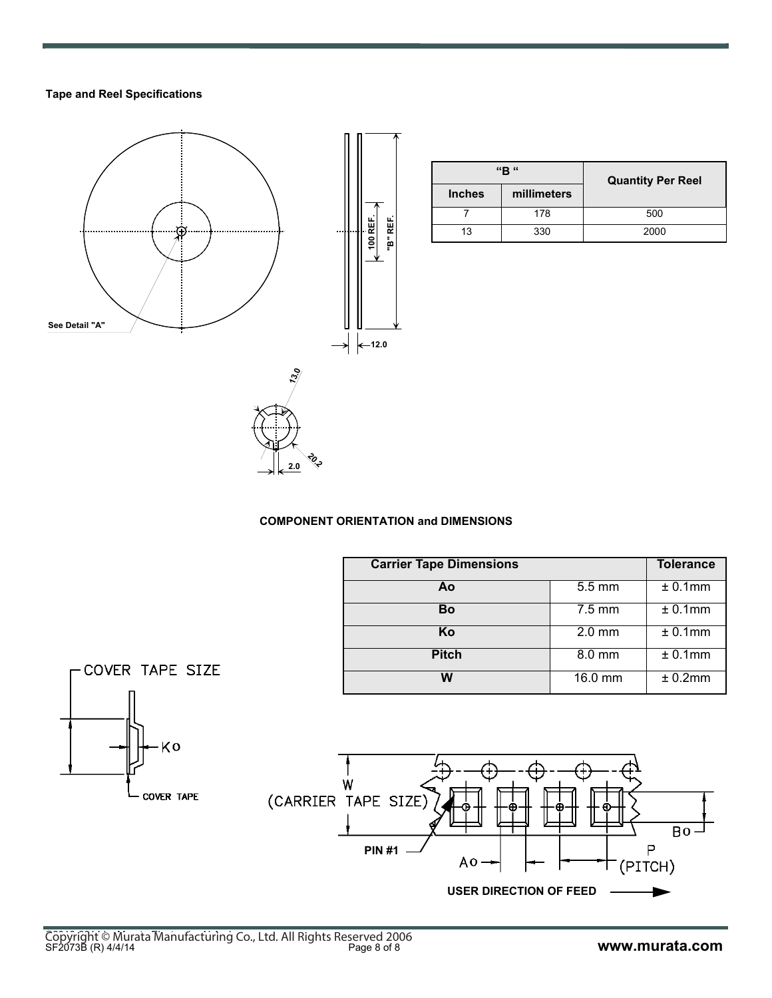### **Tape and Reel Specifications**



|               | "B"         | <b>Quantity Per Reel</b> |  |
|---------------|-------------|--------------------------|--|
| <b>Inches</b> | millimeters |                          |  |
|               | 178         | 500                      |  |
| 13            | 330         | 2000                     |  |

### **COMPONENT ORIENTATION and DIMENSIONS**

| <b>Carrier Tape Dimensions</b> |                  | <b>Tolerance</b> |
|--------------------------------|------------------|------------------|
| Αo                             | 5.5 mm           | $± 0.1$ mm       |
| Bo                             | $7.5 \text{ mm}$ | ± 0.1mm          |
| Κo                             | $2.0$ mm         | ± 0.1mm          |
| <b>Pitch</b>                   | 8.0 mm           | ± 0.1mm          |
| W                              | 16.0 mm          | ± 0.2mm          |